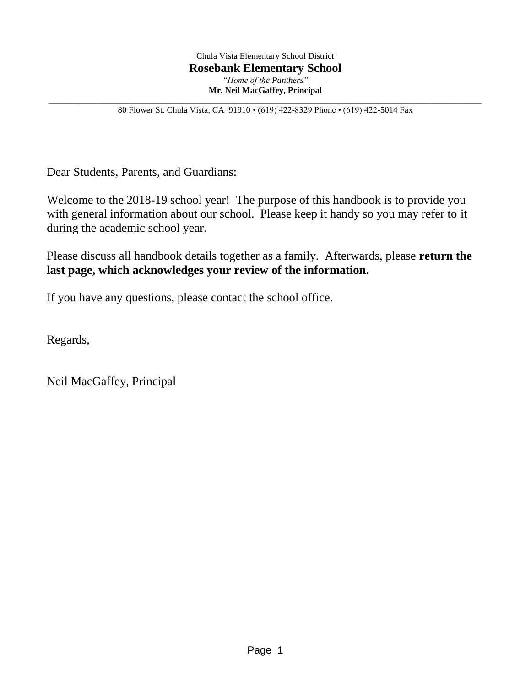\_\_\_\_\_\_\_\_\_\_\_\_\_\_\_\_\_\_\_\_\_\_\_\_\_\_\_\_\_\_\_\_\_\_\_\_\_\_\_\_\_\_\_\_\_\_\_\_\_\_\_\_\_\_\_\_\_\_\_\_\_\_\_\_\_\_\_\_\_\_\_\_\_\_\_\_\_\_\_\_\_\_\_\_\_\_\_\_\_\_\_\_\_\_\_\_\_\_\_\_ 80 Flower St. Chula Vista, CA 91910 • (619) 422-8329 Phone • (619) 422-5014 Fax

Dear Students, Parents, and Guardians:

Welcome to the 2018-19 school year! The purpose of this handbook is to provide you with general information about our school. Please keep it handy so you may refer to it during the academic school year.

Please discuss all handbook details together as a family. Afterwards, please **return the last page, which acknowledges your review of the information.**

If you have any questions, please contact the school office.

Regards,

Neil MacGaffey, Principal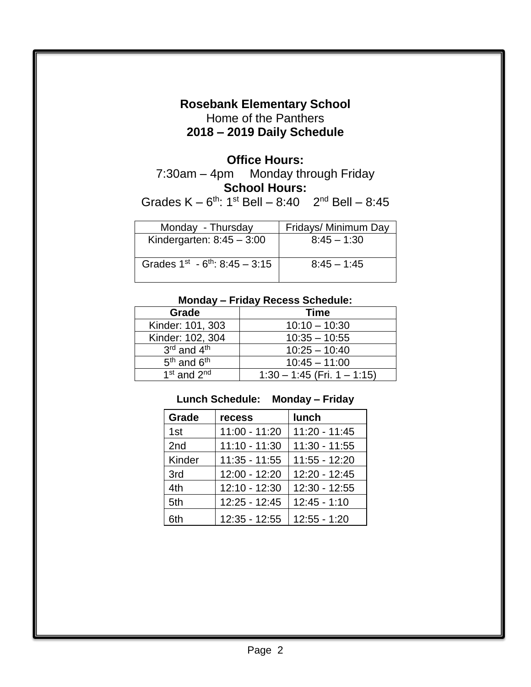# **Rosebank Elementary School** Home of the Panthers **2018 – 2019 Daily Schedule**

# **Office Hours:**

7:30am – 4pm Monday through Friday **School Hours:**

Grades  $K - 6^{th}$ : 1<sup>st</sup> Bell  $- 8:40$  2<sup>nd</sup> Bell  $- 8:45$ 

| Monday - Thursday                      | Fridays/ Minimum Day |
|----------------------------------------|----------------------|
| Kindergarten: $8:45 - 3:00$            | $8:45 - 1:30$        |
| Grades $1^{st} - 6^{th}$ : 8:45 - 3:15 | $8:45 - 1:45$        |

#### **Monday – Friday Recess Schedule:**

| Grade                               | <b>Time</b>                   |
|-------------------------------------|-------------------------------|
| Kinder: 101, 303                    | $10:10 - 10:30$               |
| Kinder: 102, 304                    | $10:35 - 10:55$               |
| 3rd and 4th                         | $10:25 - 10:40$               |
| 5 <sup>th</sup> and 6 <sup>th</sup> | $10:45 - 11:00$               |
| 1 <sup>st</sup> and 2 <sup>nd</sup> | $1:30 - 1:45$ (Fri. 1 - 1:15) |

#### **Lunch Schedule: Monday – Friday**

| Grade  | recess          | <b>lunch</b>    |
|--------|-----------------|-----------------|
| 1st    | $11:00 - 11:20$ | $11:20 - 11:45$ |
| 2nd    | $11:10 - 11:30$ | $11:30 - 11:55$ |
| Kinder | $11:35 - 11:55$ | $11:55 - 12:20$ |
| 3rd    | 12:00 - 12:20   | 12:20 - 12:45   |
| 4th    | 12:10 - 12:30   | $12:30 - 12:55$ |
| 5th    | 12:25 - 12:45   | $12:45 - 1:10$  |
| 6th    | $12:35 - 12:55$ | $12:55 - 1:20$  |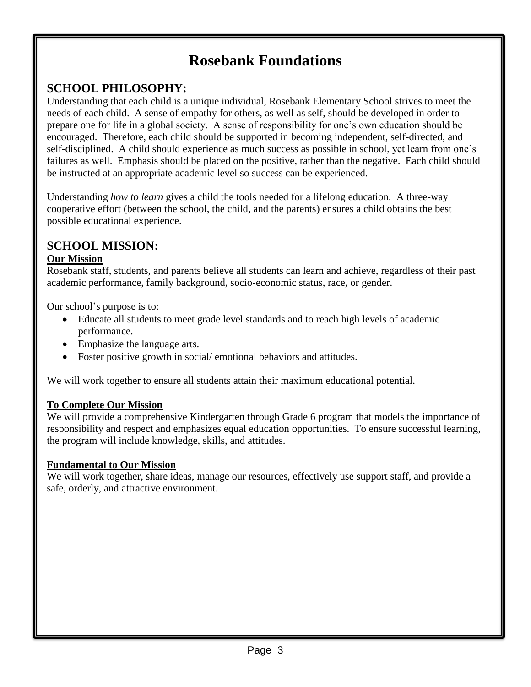# **Rosebank Foundations**

## **SCHOOL PHILOSOPHY:**

Understanding that each child is a unique individual, Rosebank Elementary School strives to meet the needs of each child. A sense of empathy for others, as well as self, should be developed in order to prepare one for life in a global society. A sense of responsibility for one's own education should be encouraged. Therefore, each child should be supported in becoming independent, self-directed, and self-disciplined. A child should experience as much success as possible in school, yet learn from one's failures as well. Emphasis should be placed on the positive, rather than the negative. Each child should be instructed at an appropriate academic level so success can be experienced.

Understanding *how to learn* gives a child the tools needed for a lifelong education. A three-way cooperative effort (between the school, the child, and the parents) ensures a child obtains the best possible educational experience.

#### **SCHOOL MISSION:**

#### **Our Mission**

Rosebank staff, students, and parents believe all students can learn and achieve, regardless of their past academic performance, family background, socio-economic status, race, or gender.

Our school's purpose is to:

- Educate all students to meet grade level standards and to reach high levels of academic performance.
- Emphasize the language arts.
- Foster positive growth in social/emotional behaviors and attitudes.

We will work together to ensure all students attain their maximum educational potential.

#### **To Complete Our Mission**

We will provide a comprehensive Kindergarten through Grade 6 program that models the importance of responsibility and respect and emphasizes equal education opportunities. To ensure successful learning, the program will include knowledge, skills, and attitudes.

#### **Fundamental to Our Mission**

We will work together, share ideas, manage our resources, effectively use support staff, and provide a safe, orderly, and attractive environment.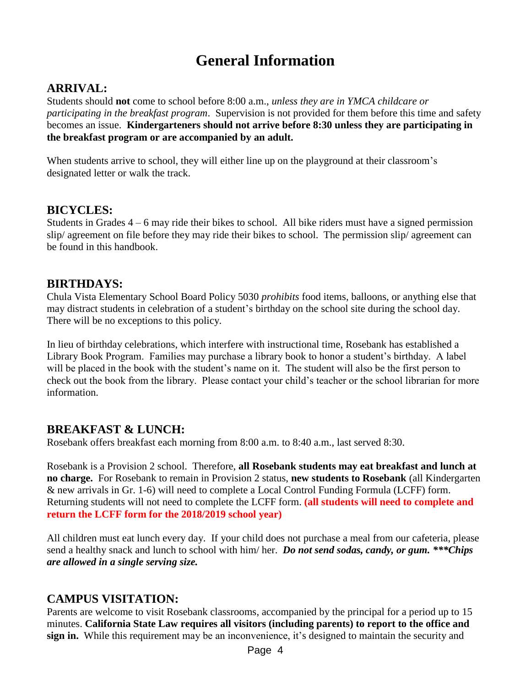# **General Information**

#### **ARRIVAL:**

Students should **not** come to school before 8:00 a.m., *unless they are in YMCA childcare or participating in the breakfast program*. Supervision is not provided for them before this time and safety becomes an issue. **Kindergarteners should not arrive before 8:30 unless they are participating in the breakfast program or are accompanied by an adult.**

When students arrive to school, they will either line up on the playground at their classroom's designated letter or walk the track.

#### **BICYCLES:**

Students in Grades  $4 - 6$  may ride their bikes to school. All bike riders must have a signed permission slip/ agreement on file before they may ride their bikes to school. The permission slip/ agreement can be found in this handbook.

#### **BIRTHDAYS:**

Chula Vista Elementary School Board Policy 5030 *prohibits* food items, balloons, or anything else that may distract students in celebration of a student's birthday on the school site during the school day. There will be no exceptions to this policy.

In lieu of birthday celebrations, which interfere with instructional time, Rosebank has established a Library Book Program. Families may purchase a library book to honor a student's birthday. A label will be placed in the book with the student's name on it. The student will also be the first person to check out the book from the library. Please contact your child's teacher or the school librarian for more information.

#### **BREAKFAST & LUNCH:**

Rosebank offers breakfast each morning from 8:00 a.m. to 8:40 a.m., last served 8:30.

Rosebank is a Provision 2 school. Therefore, **all Rosebank students may eat breakfast and lunch at no charge.** For Rosebank to remain in Provision 2 status, **new students to Rosebank** (all Kindergarten & new arrivals in Gr. 1-6) will need to complete a Local Control Funding Formula (LCFF) form. Returning students will not need to complete the LCFF form. **(all students will need to complete and return the LCFF form for the 2018/2019 school year)**

All children must eat lunch every day. If your child does not purchase a meal from our cafeteria, please send a healthy snack and lunch to school with him/ her. *Do not send sodas, candy, or gum. \*\*\*Chips are allowed in a single serving size.*

## **CAMPUS VISITATION:**

Parents are welcome to visit Rosebank classrooms, accompanied by the principal for a period up to 15 minutes. **California State Law requires all visitors (including parents) to report to the office and sign in.** While this requirement may be an inconvenience, it's designed to maintain the security and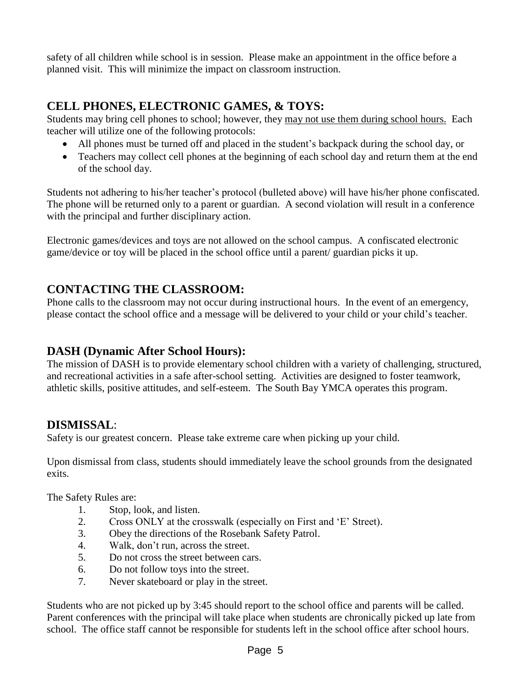safety of all children while school is in session. Please make an appointment in the office before a planned visit. This will minimize the impact on classroom instruction.

# **CELL PHONES, ELECTRONIC GAMES, & TOYS:**

Students may bring cell phones to school; however, they may not use them during school hours. Each teacher will utilize one of the following protocols:

- All phones must be turned off and placed in the student's backpack during the school day, or
- Teachers may collect cell phones at the beginning of each school day and return them at the end of the school day.

Students not adhering to his/her teacher's protocol (bulleted above) will have his/her phone confiscated. The phone will be returned only to a parent or guardian. A second violation will result in a conference with the principal and further disciplinary action.

Electronic games/devices and toys are not allowed on the school campus. A confiscated electronic game/device or toy will be placed in the school office until a parent/ guardian picks it up.

## **CONTACTING THE CLASSROOM:**

Phone calls to the classroom may not occur during instructional hours. In the event of an emergency, please contact the school office and a message will be delivered to your child or your child's teacher.

## **DASH (Dynamic After School Hours):**

The mission of DASH is to provide elementary school children with a variety of challenging, structured, and recreational activities in a safe after-school setting. Activities are designed to foster teamwork, athletic skills, positive attitudes, and self-esteem. The South Bay YMCA operates this program.

## **DISMISSAL**:

Safety is our greatest concern. Please take extreme care when picking up your child.

Upon dismissal from class, students should immediately leave the school grounds from the designated exits.

The Safety Rules are:

- 1. Stop, look, and listen.
- 2. Cross ONLY at the crosswalk (especially on First and 'E' Street).
- 3. Obey the directions of the Rosebank Safety Patrol.
- 4. Walk, don't run, across the street.
- 5. Do not cross the street between cars.
- 6. Do not follow toys into the street.
- 7. Never skateboard or play in the street.

Students who are not picked up by 3:45 should report to the school office and parents will be called. Parent conferences with the principal will take place when students are chronically picked up late from school. The office staff cannot be responsible for students left in the school office after school hours.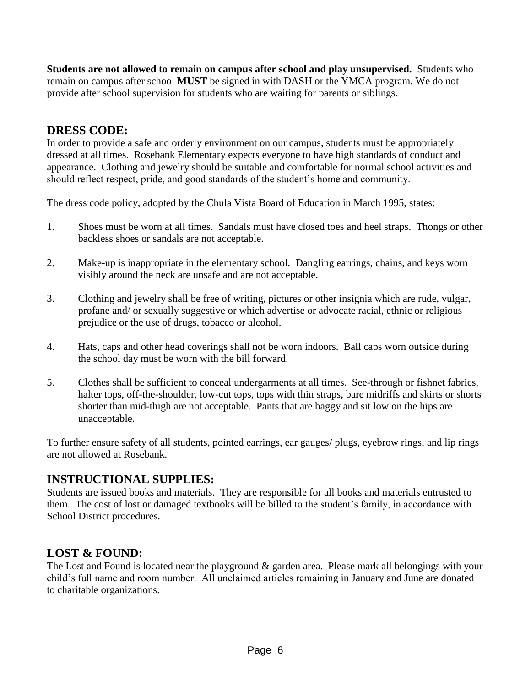**Students are not allowed to remain on campus after school and play unsupervised.** Students who remain on campus after school **MUST** be signed in with DASH or the YMCA program. We do not provide after school supervision for students who are waiting for parents or siblings.

## **DRESS CODE:**

In order to provide a safe and orderly environment on our campus, students must be appropriately dressed at all times. Rosebank Elementary expects everyone to have high standards of conduct and appearance. Clothing and jewelry should be suitable and comfortable for normal school activities and should reflect respect, pride, and good standards of the student's home and community.

The dress code policy, adopted by the Chula Vista Board of Education in March 1995, states:

- 1. Shoes must be worn at all times. Sandals must have closed toes and heel straps. Thongs or other backless shoes or sandals are not acceptable.
- 2. Make-up is inappropriate in the elementary school. Dangling earrings, chains, and keys worn visibly around the neck are unsafe and are not acceptable.
- 3. Clothing and jewelry shall be free of writing, pictures or other insignia which are rude, vulgar, profane and/ or sexually suggestive or which advertise or advocate racial, ethnic or religious prejudice or the use of drugs, tobacco or alcohol.
- 4. Hats, caps and other head coverings shall not be worn indoors. Ball caps worn outside during the school day must be worn with the bill forward.
- 5. Clothes shall be sufficient to conceal undergarments at all times. See-through or fishnet fabrics, halter tops, off-the-shoulder, low-cut tops, tops with thin straps, bare midriffs and skirts or shorts shorter than mid-thigh are not acceptable. Pants that are baggy and sit low on the hips are unacceptable.

To further ensure safety of all students, pointed earrings, ear gauges/ plugs, eyebrow rings, and lip rings are not allowed at Rosebank.

#### **INSTRUCTIONAL SUPPLIES:**

Students are issued books and materials. They are responsible for all books and materials entrusted to them. The cost of lost or damaged textbooks will be billed to the student's family, in accordance with School District procedures.

#### **LOST & FOUND:**

The Lost and Found is located near the playground & garden area. Please mark all belongings with your child's full name and room number. All unclaimed articles remaining in January and June are donated to charitable organizations.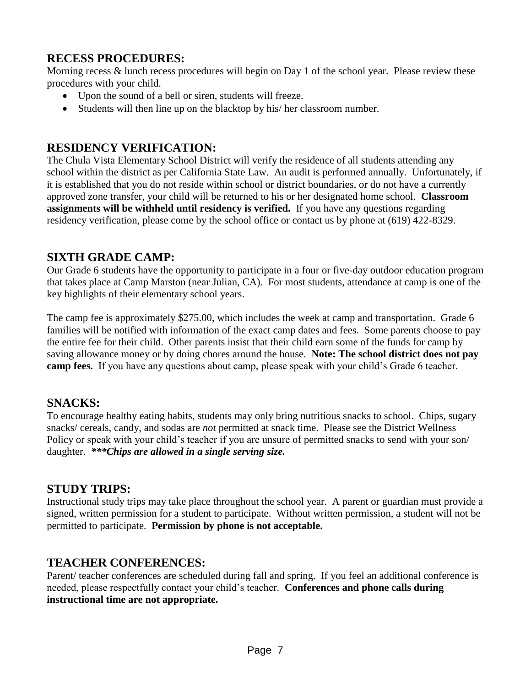## **RECESS PROCEDURES:**

Morning recess & lunch recess procedures will begin on Day 1 of the school year. Please review these procedures with your child.

- Upon the sound of a bell or siren, students will freeze.
- Students will then line up on the blacktop by his/ her classroom number.

## **RESIDENCY VERIFICATION:**

The Chula Vista Elementary School District will verify the residence of all students attending any school within the district as per California State Law. An audit is performed annually. Unfortunately, if it is established that you do not reside within school or district boundaries, or do not have a currently approved zone transfer, your child will be returned to his or her designated home school. **Classroom assignments will be withheld until residency is verified.** If you have any questions regarding residency verification, please come by the school office or contact us by phone at (619) 422-8329.

## **SIXTH GRADE CAMP:**

Our Grade 6 students have the opportunity to participate in a four or five-day outdoor education program that takes place at Camp Marston (near Julian, CA). For most students, attendance at camp is one of the key highlights of their elementary school years.

The camp fee is approximately \$275.00, which includes the week at camp and transportation. Grade 6 families will be notified with information of the exact camp dates and fees. Some parents choose to pay the entire fee for their child. Other parents insist that their child earn some of the funds for camp by saving allowance money or by doing chores around the house. **Note: The school district does not pay camp fees.** If you have any questions about camp, please speak with your child's Grade 6 teacher.

## **SNACKS:**

To encourage healthy eating habits, students may only bring nutritious snacks to school. Chips, sugary snacks/ cereals, candy, and sodas are *not* permitted at snack time. Please see the District Wellness Policy or speak with your child's teacher if you are unsure of permitted snacks to send with your son/ daughter. *\*\*\*Chips are allowed in a single serving size.*

## **STUDY TRIPS:**

Instructional study trips may take place throughout the school year. A parent or guardian must provide a signed, written permission for a student to participate. Without written permission, a student will not be permitted to participate. **Permission by phone is not acceptable.**

## **TEACHER CONFERENCES:**

Parent/ teacher conferences are scheduled during fall and spring. If you feel an additional conference is needed, please respectfully contact your child's teacher. **Conferences and phone calls during instructional time are not appropriate.**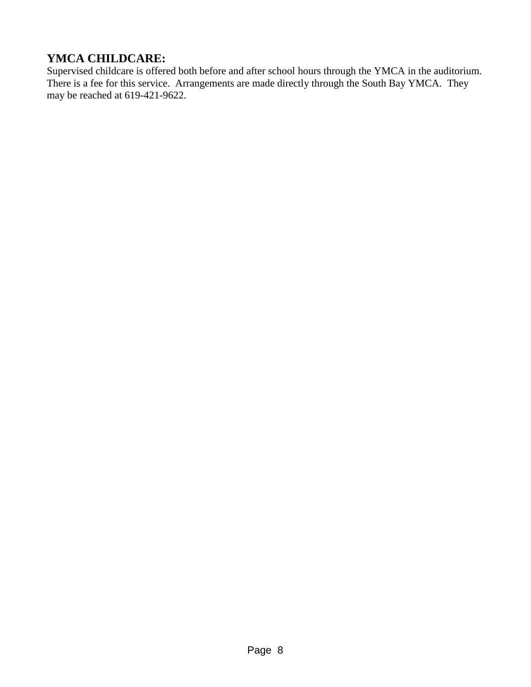# **YMCA CHILDCARE:**

Supervised childcare is offered both before and after school hours through the YMCA in the auditorium. There is a fee for this service. Arrangements are made directly through the South Bay YMCA. They may be reached at 619-421-9622.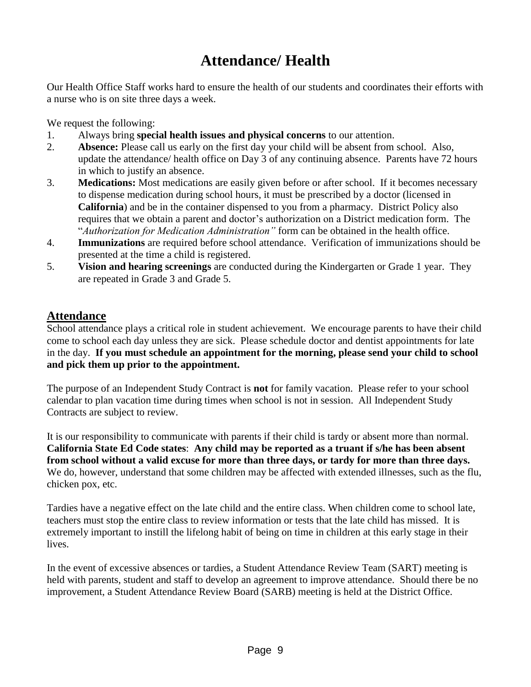# **Attendance/ Health**

Our Health Office Staff works hard to ensure the health of our students and coordinates their efforts with a nurse who is on site three days a week.

We request the following:

- 1. Always bring **special health issues and physical concerns** to our attention.
- 2. **Absence:** Please call us early on the first day your child will be absent from school. Also, update the attendance/ health office on Day 3 of any continuing absence. Parents have 72 hours in which to justify an absence.
- 3. **Medications:** Most medications are easily given before or after school. If it becomes necessary to dispense medication during school hours, it must be prescribed by a doctor (licensed in **California**) and be in the container dispensed to you from a pharmacy. District Policy also requires that we obtain a parent and doctor's authorization on a District medication form. The "*Authorization for Medication Administration"* form can be obtained in the health office.
- 4. **Immunizations** are required before school attendance. Verification of immunizations should be presented at the time a child is registered.
- 5. **Vision and hearing screenings** are conducted during the Kindergarten or Grade 1 year. They are repeated in Grade 3 and Grade 5.

#### **Attendance**

School attendance plays a critical role in student achievement. We encourage parents to have their child come to school each day unless they are sick. Please schedule doctor and dentist appointments for late in the day. **If you must schedule an appointment for the morning, please send your child to school and pick them up prior to the appointment.**

The purpose of an Independent Study Contract is **not** for family vacation. Please refer to your school calendar to plan vacation time during times when school is not in session. All Independent Study Contracts are subject to review.

It is our responsibility to communicate with parents if their child is tardy or absent more than normal. **California State Ed Code states**: **Any child may be reported as a truant if s/he has been absent from school without a valid excuse for more than three days, or tardy for more than three days.** We do, however, understand that some children may be affected with extended illnesses, such as the flu, chicken pox, etc.

Tardies have a negative effect on the late child and the entire class. When children come to school late, teachers must stop the entire class to review information or tests that the late child has missed. It is extremely important to instill the lifelong habit of being on time in children at this early stage in their lives.

In the event of excessive absences or tardies, a Student Attendance Review Team (SART) meeting is held with parents, student and staff to develop an agreement to improve attendance. Should there be no improvement, a Student Attendance Review Board (SARB) meeting is held at the District Office.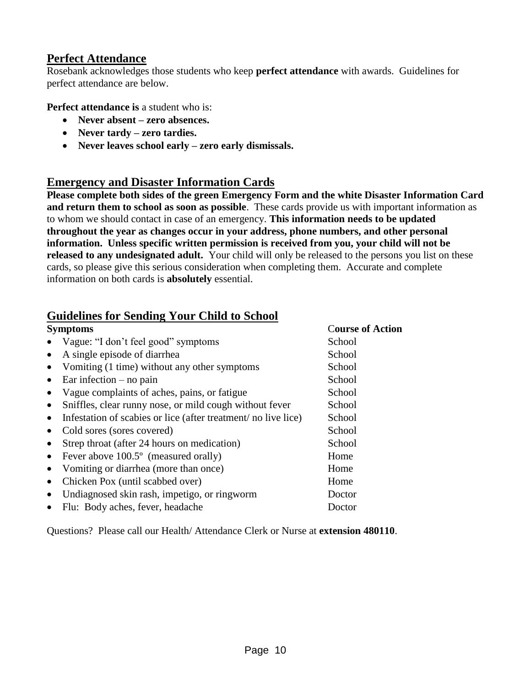## **Perfect Attendance**

Rosebank acknowledges those students who keep **perfect attendance** with awards. Guidelines for perfect attendance are below.

**Perfect attendance is** a student who is:

- **Never absent – zero absences.**
- **Never tardy – zero tardies.**
- **Never leaves school early – zero early dismissals.**

## **Emergency and Disaster Information Cards**

**Please complete both sides of the green Emergency Form and the white Disaster Information Card and return them to school as soon as possible**. These cards provide us with important information as to whom we should contact in case of an emergency. **This information needs to be updated throughout the year as changes occur in your address, phone numbers, and other personal information. Unless specific written permission is received from you, your child will not be released to any undesignated adult.** Your child will only be released to the persons you list on these cards, so please give this serious consideration when completing them. Accurate and complete information on both cards is **absolutely** essential.

## **Guidelines for Sending Your Child to School**

| <b>Symptoms</b>                                                            | <b>Course of Action</b> |  |
|----------------------------------------------------------------------------|-------------------------|--|
| Vague: "I don't feel good" symptoms<br>$\bullet$                           | School                  |  |
| A single episode of diarrhea<br>$\bullet$                                  | School                  |  |
| Vomiting (1 time) without any other symptoms<br>$\bullet$                  | School                  |  |
| Ear infection $-$ no pain<br>$\bullet$                                     | School                  |  |
| Vague complaints of aches, pains, or fatigue<br>$\bullet$                  | School                  |  |
| Sniffles, clear runny nose, or mild cough without fever<br>$\bullet$       | School                  |  |
| Infestation of scabies or lice (after treatment/no live lice)<br>$\bullet$ | School                  |  |
| Cold sores (sores covered)<br>$\bullet$                                    | School                  |  |
| Strep throat (after 24 hours on medication)<br>$\bullet$                   | School                  |  |
| Fever above 100.5° (measured orally)<br>$\bullet$                          | Home                    |  |
| Vomiting or diarrhea (more than once)<br>$\bullet$                         | Home                    |  |
| Chicken Pox (until scabbed over)<br>$\bullet$                              | Home                    |  |
| Undiagnosed skin rash, impetigo, or ringworm<br>$\bullet$                  | Doctor                  |  |
| Flu: Body aches, fever, headache<br>$\bullet$                              | Doctor                  |  |
|                                                                            |                         |  |

Questions? Please call our Health/ Attendance Clerk or Nurse at **extension 480110**.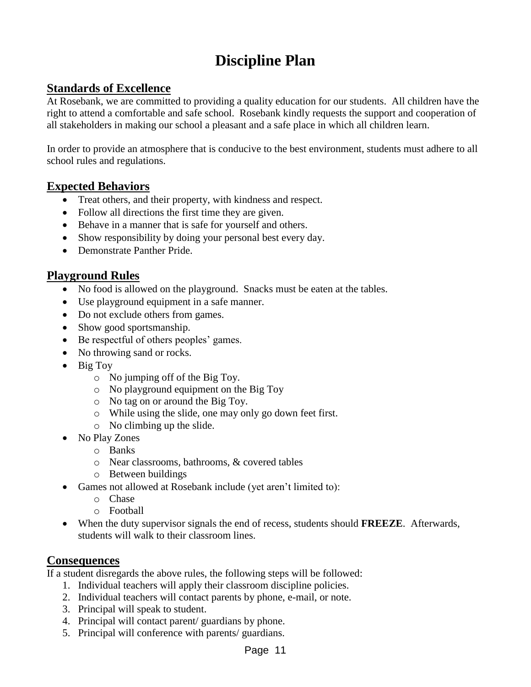# **Discipline Plan**

#### **Standards of Excellence**

At Rosebank, we are committed to providing a quality education for our students. All children have the right to attend a comfortable and safe school. Rosebank kindly requests the support and cooperation of all stakeholders in making our school a pleasant and a safe place in which all children learn.

In order to provide an atmosphere that is conducive to the best environment, students must adhere to all school rules and regulations.

#### **Expected Behaviors**

- Treat others, and their property, with kindness and respect.
- Follow all directions the first time they are given.
- Behave in a manner that is safe for yourself and others.
- Show responsibility by doing your personal best every day.
- Demonstrate Panther Pride.

## **Playground Rules**

- No food is allowed on the playground. Snacks must be eaten at the tables.
- Use playground equipment in a safe manner.
- Do not exclude others from games.
- Show good sportsmanship.
- Be respectful of others peoples' games.
- No throwing sand or rocks.
- $\bullet$  Big Toy
	- o No jumping off of the Big Toy.
	- o No playground equipment on the Big Toy
	- o No tag on or around the Big Toy.
	- o While using the slide, one may only go down feet first.
	- o No climbing up the slide.
- No Play Zones
	- o Banks
	- o Near classrooms, bathrooms, & covered tables
	- o Between buildings
- Games not allowed at Rosebank include (yet aren't limited to):
	- o Chase
	- o Football
- When the duty supervisor signals the end of recess, students should **FREEZE**. Afterwards, students will walk to their classroom lines.

#### **Consequences**

If a student disregards the above rules, the following steps will be followed:

- 1. Individual teachers will apply their classroom discipline policies.
- 2. Individual teachers will contact parents by phone, e-mail, or note.
- 3. Principal will speak to student.
- 4. Principal will contact parent/ guardians by phone.
- 5. Principal will conference with parents/ guardians.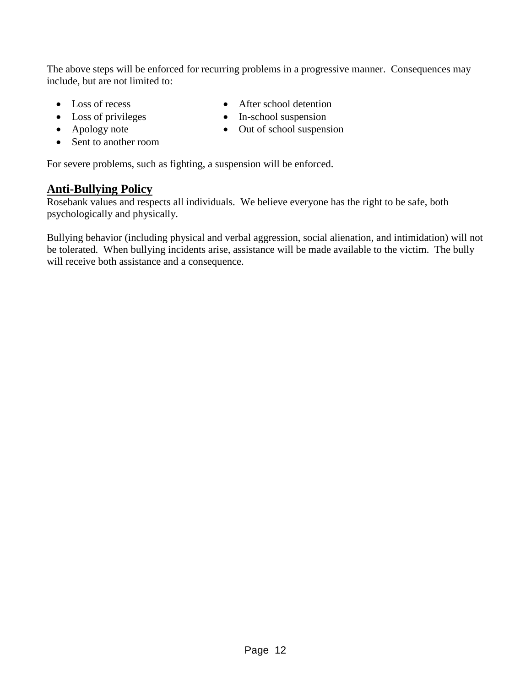The above steps will be enforced for recurring problems in a progressive manner. Consequences may include, but are not limited to:

- Loss of recess
- Loss of privileges
- Apology note
- Sent to another room
- In-school suspension • Out of school suspension

• After school detention

For severe problems, such as fighting, a suspension will be enforced.

#### **Anti-Bullying Policy**

Rosebank values and respects all individuals. We believe everyone has the right to be safe, both psychologically and physically.

Bullying behavior (including physical and verbal aggression, social alienation, and intimidation) will not be tolerated. When bullying incidents arise, assistance will be made available to the victim. The bully will receive both assistance and a consequence.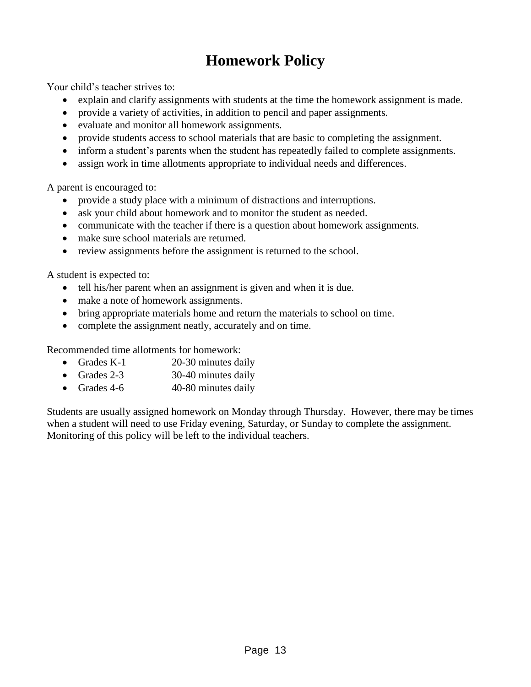# **Homework Policy**

Your child's teacher strives to:

- explain and clarify assignments with students at the time the homework assignment is made.
- provide a variety of activities, in addition to pencil and paper assignments.
- evaluate and monitor all homework assignments.
- provide students access to school materials that are basic to completing the assignment.
- inform a student's parents when the student has repeatedly failed to complete assignments.
- assign work in time allotments appropriate to individual needs and differences.

A parent is encouraged to:

- provide a study place with a minimum of distractions and interruptions.
- ask your child about homework and to monitor the student as needed.
- communicate with the teacher if there is a question about homework assignments.
- make sure school materials are returned.
- review assignments before the assignment is returned to the school.

A student is expected to:

- tell his/her parent when an assignment is given and when it is due.
- make a note of homework assignments.
- bring appropriate materials home and return the materials to school on time.
- complete the assignment neatly, accurately and on time.

Recommended time allotments for homework:

- Grades K-1 20-30 minutes daily
- Grades 2-3 30-40 minutes daily
- Grades 4-6 40-80 minutes daily

Students are usually assigned homework on Monday through Thursday. However, there may be times when a student will need to use Friday evening, Saturday, or Sunday to complete the assignment. Monitoring of this policy will be left to the individual teachers.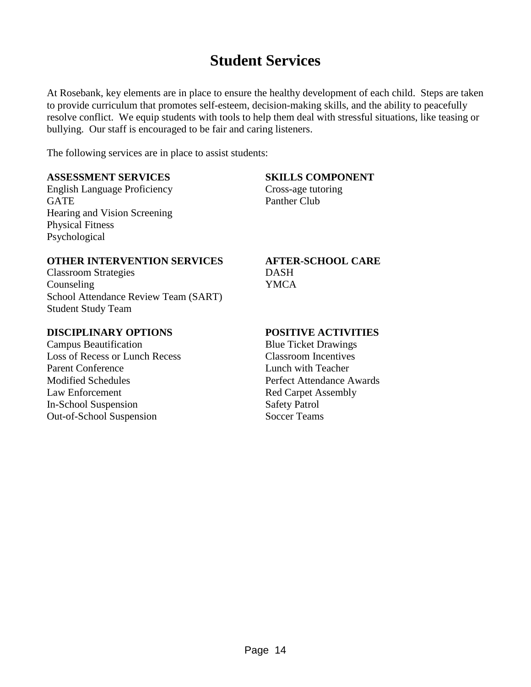# **Student Services**

At Rosebank, key elements are in place to ensure the healthy development of each child. Steps are taken to provide curriculum that promotes self-esteem, decision-making skills, and the ability to peacefully resolve conflict. We equip students with tools to help them deal with stressful situations, like teasing or bullying. Our staff is encouraged to be fair and caring listeners.

The following services are in place to assist students:

#### **ASSESSMENT SERVICES SKILLS COMPONENT**

English Language Proficiency Cross-age tutoring GATE Panther Club Hearing and Vision Screening Physical Fitness Psychological

#### **OTHER INTERVENTION SERVICES AFTER-SCHOOL CARE**

Classroom Strategies DASH Counseling YMCA School Attendance Review Team (SART) Student Study Team

#### **DISCIPLINARY OPTIONS POSITIVE ACTIVITIES**

Campus Beautification Blue Ticket Drawings Loss of Recess or Lunch Recess Classroom Incentives<br>
Parent Conference<br>
Lunch with Teacher Modified Schedules Perfect Attendance Awards Law Enforcement Red Carpet Assembly In-School Suspension Safety Patrol Out-of-School Suspension Soccer Teams

Lunch with Teacher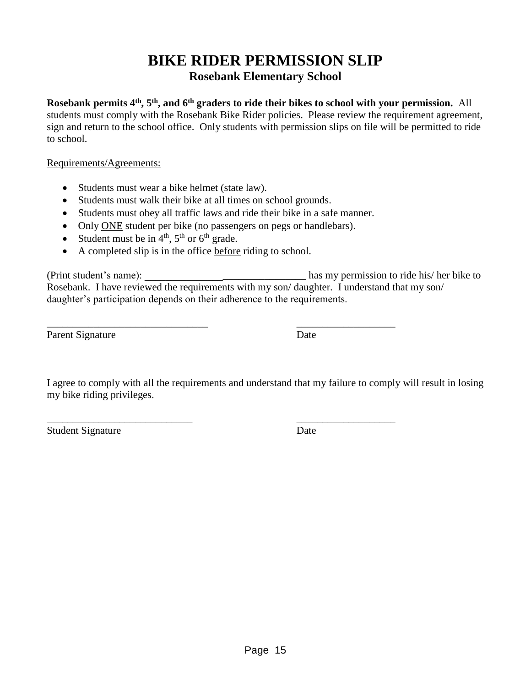# **BIKE RIDER PERMISSION SLIP Rosebank Elementary School**

**Rosebank permits 4 th, 5th, and 6th graders to ride their bikes to school with your permission.** All students must comply with the Rosebank Bike Rider policies. Please review the requirement agreement, sign and return to the school office. Only students with permission slips on file will be permitted to ride to school.

Requirements/Agreements:

- Students must wear a bike helmet (state law).
- Students must walk their bike at all times on school grounds.
- Students must obey all traffic laws and ride their bike in a safe manner.

\_\_\_\_\_\_\_\_\_\_\_\_\_\_\_\_\_\_\_\_\_\_\_\_\_\_\_\_ \_\_\_\_\_\_\_\_\_\_\_\_\_\_\_\_\_\_\_

- Only ONE student per bike (no passengers on pegs or handlebars).
- Student must be in  $4<sup>th</sup>$ ,  $5<sup>th</sup>$  or  $6<sup>th</sup>$  grade.
- A completed slip is in the office before riding to school.

(Print student's name): \_\_\_\_\_\_\_\_\_\_\_\_\_\_\_\_\_\_\_\_\_\_\_\_\_\_\_\_\_\_\_ has my permission to ride his/ her bike to Rosebank. I have reviewed the requirements with my son/ daughter. I understand that my son/ daughter's participation depends on their adherence to the requirements.

Parent Signature Date

\_\_\_\_\_\_\_\_\_\_\_\_\_\_\_\_\_\_\_\_\_\_\_\_\_\_\_\_\_\_\_ \_\_\_\_\_\_\_\_\_\_\_\_\_\_\_\_\_\_\_

I agree to comply with all the requirements and understand that my failure to comply will result in losing my bike riding privileges.

Student Signature Date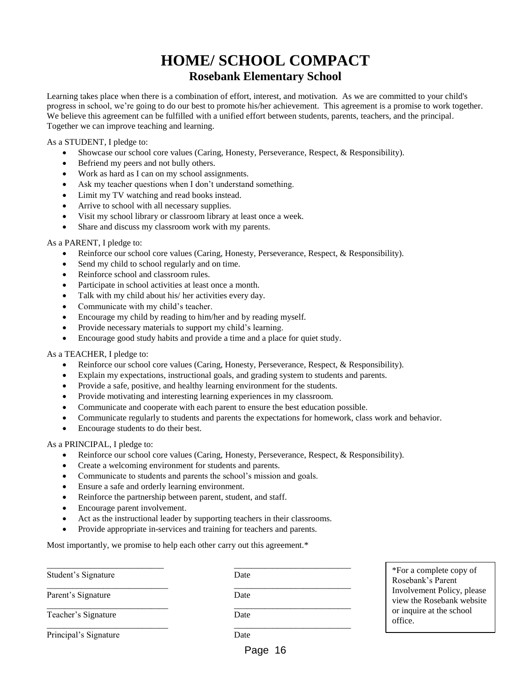# **HOME/ SCHOOL COMPACT Rosebank Elementary School**

Learning takes place when there is a combination of effort, interest, and motivation. As we are committed to your child's progress in school, we're going to do our best to promote his/her achievement. This agreement is a promise to work together. We believe this agreement can be fulfilled with a unified effort between students, parents, teachers, and the principal. Together we can improve teaching and learning.

As a STUDENT, I pledge to:

- Showcase our school core values (Caring, Honesty, Perseverance, Respect, & Responsibility).
- Befriend my peers and not bully others.
- Work as hard as I can on my school assignments.
- Ask my teacher questions when I don't understand something.
- Limit my TV watching and read books instead.
- Arrive to school with all necessary supplies.
- Visit my school library or classroom library at least once a week.
- Share and discuss my classroom work with my parents.

#### As a PARENT, I pledge to:

- Reinforce our school core values (Caring, Honesty, Perseverance, Respect, & Responsibility).
- Send my child to school regularly and on time.
- Reinforce school and classroom rules.
- Participate in school activities at least once a month.
- Talk with my child about his/ her activities every day.
- Communicate with my child's teacher.
- Encourage my child by reading to him/her and by reading myself.
- Provide necessary materials to support my child's learning.
- Encourage good study habits and provide a time and a place for quiet study.

#### As a TEACHER, I pledge to:

- Reinforce our school core values (Caring, Honesty, Perseverance, Respect, & Responsibility).
- Explain my expectations, instructional goals, and grading system to students and parents.
- Provide a safe, positive, and healthy learning environment for the students.
- Provide motivating and interesting learning experiences in my classroom.
- Communicate and cooperate with each parent to ensure the best education possible.
- Communicate regularly to students and parents the expectations for homework, class work and behavior.
- Encourage students to do their best.

#### As a PRINCIPAL, I pledge to:

- Reinforce our school core values (Caring, Honesty, Perseverance, Respect, & Responsibility).
- Create a welcoming environment for students and parents.
- Communicate to students and parents the school's mission and goals.
- Ensure a safe and orderly learning environment.
- Reinforce the partnership between parent, student, and staff.
- Encourage parent involvement.
- Act as the instructional leader by supporting teachers in their classrooms.
- Provide appropriate in-services and training for teachers and parents.

Most importantly, we promise to help each other carry out this agreement.<sup>\*</sup>

\_\_\_\_\_\_\_\_\_\_\_\_\_\_\_\_\_\_\_\_\_\_\_\_\_\_\_ \_\_\_\_\_\_\_\_\_\_\_\_\_\_\_\_\_\_\_\_\_\_\_\_\_\_\_ Student's Signature Date \_\_\_\_\_\_\_\_\_\_\_\_\_\_\_\_\_\_\_\_\_\_\_\_\_\_\_\_ \_\_\_\_\_\_\_\_\_\_\_\_\_\_\_\_\_\_\_\_\_\_\_\_\_\_\_ Parent's Signature Date \_\_\_\_\_\_\_\_\_\_\_\_\_\_\_\_\_\_\_\_\_\_\_\_\_\_\_\_ \_\_\_\_\_\_\_\_\_\_\_\_\_\_\_\_\_\_\_\_\_\_\_\_\_\_\_ Teacher's Signature Date \_\_\_\_\_\_\_\_\_\_\_\_\_\_\_\_\_\_\_\_\_\_\_\_\_\_\_\_ \_\_\_\_\_\_\_\_\_\_\_\_\_\_\_\_\_\_\_\_\_\_\_\_\_\_\_ Principal's Signature Date

\*For a complete copy of Rosebank's Parent Involvement Policy, please view the Rosebank website or inquire at the school office.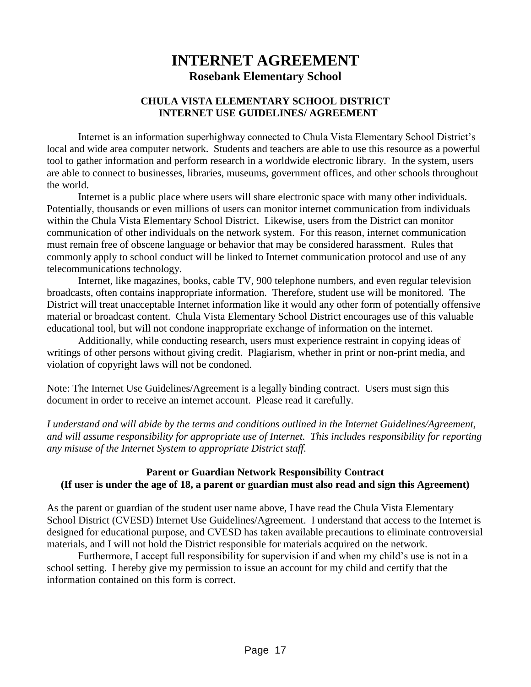# **INTERNET AGREEMENT Rosebank Elementary School**

#### **CHULA VISTA ELEMENTARY SCHOOL DISTRICT INTERNET USE GUIDELINES/ AGREEMENT**

Internet is an information superhighway connected to Chula Vista Elementary School District's local and wide area computer network. Students and teachers are able to use this resource as a powerful tool to gather information and perform research in a worldwide electronic library. In the system, users are able to connect to businesses, libraries, museums, government offices, and other schools throughout the world.

Internet is a public place where users will share electronic space with many other individuals. Potentially, thousands or even millions of users can monitor internet communication from individuals within the Chula Vista Elementary School District. Likewise, users from the District can monitor communication of other individuals on the network system. For this reason, internet communication must remain free of obscene language or behavior that may be considered harassment. Rules that commonly apply to school conduct will be linked to Internet communication protocol and use of any telecommunications technology.

Internet, like magazines, books, cable TV, 900 telephone numbers, and even regular television broadcasts, often contains inappropriate information. Therefore, student use will be monitored. The District will treat unacceptable Internet information like it would any other form of potentially offensive material or broadcast content. Chula Vista Elementary School District encourages use of this valuable educational tool, but will not condone inappropriate exchange of information on the internet.

Additionally, while conducting research, users must experience restraint in copying ideas of writings of other persons without giving credit. Plagiarism, whether in print or non-print media, and violation of copyright laws will not be condoned.

Note: The Internet Use Guidelines/Agreement is a legally binding contract. Users must sign this document in order to receive an internet account. Please read it carefully.

*I understand and will abide by the terms and conditions outlined in the Internet Guidelines/Agreement, and will assume responsibility for appropriate use of Internet. This includes responsibility for reporting any misuse of the Internet System to appropriate District staff.*

#### **Parent or Guardian Network Responsibility Contract (If user is under the age of 18, a parent or guardian must also read and sign this Agreement)**

As the parent or guardian of the student user name above, I have read the Chula Vista Elementary School District (CVESD) Internet Use Guidelines/Agreement. I understand that access to the Internet is designed for educational purpose, and CVESD has taken available precautions to eliminate controversial materials, and I will not hold the District responsible for materials acquired on the network.

Furthermore, I accept full responsibility for supervision if and when my child's use is not in a school setting. I hereby give my permission to issue an account for my child and certify that the information contained on this form is correct.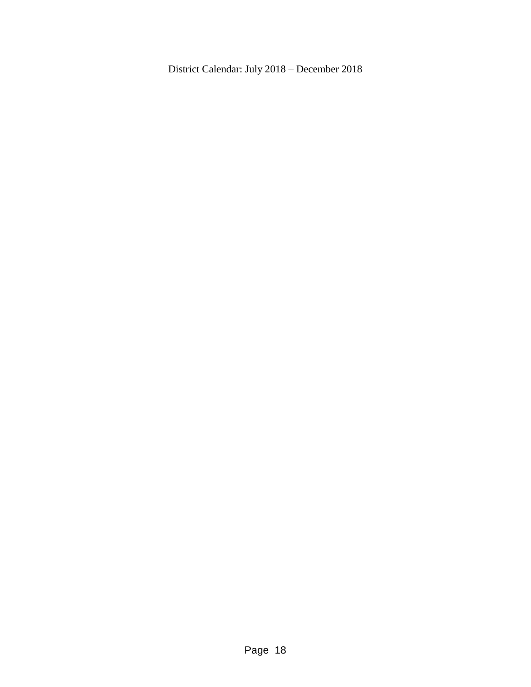District Calendar: July 2018 – December 2018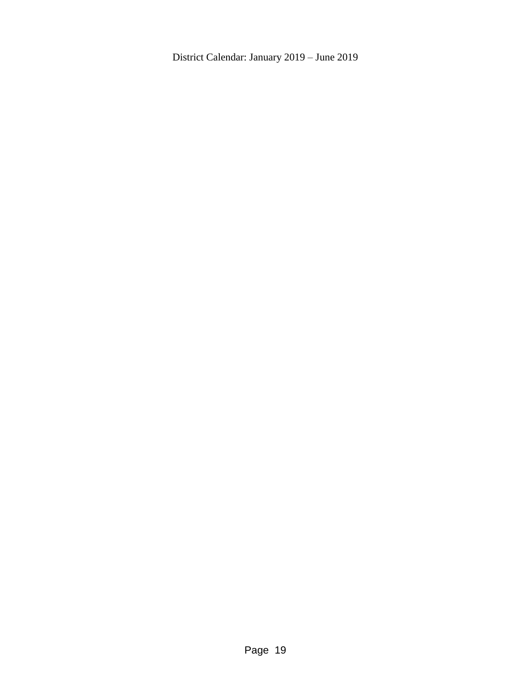District Calendar: January 2019 – June 2019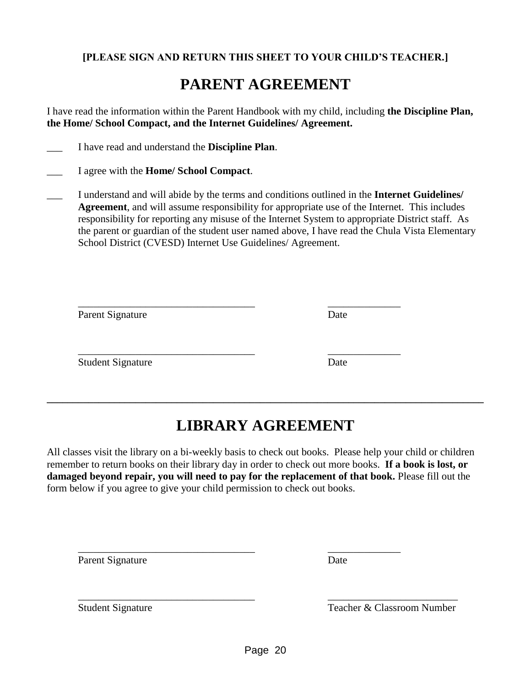#### **[PLEASE SIGN AND RETURN THIS SHEET TO YOUR CHILD'S TEACHER.]**

# **PARENT AGREEMENT**

I have read the information within the Parent Handbook with my child, including **the Discipline Plan, the Home/ School Compact, and the Internet Guidelines/ Agreement.**

- \_\_\_ I have read and understand the **Discipline Plan**.
- \_\_\_ I agree with the **Home/ School Compact**.
- \_\_\_ I understand and will abide by the terms and conditions outlined in the **Internet Guidelines/ Agreement**, and will assume responsibility for appropriate use of the Internet. This includes responsibility for reporting any misuse of the Internet System to appropriate District staff. As the parent or guardian of the student user named above, I have read the Chula Vista Elementary School District (CVESD) Internet Use Guidelines/ Agreement.

| Parent Signature         | Date |
|--------------------------|------|
| <b>Student Signature</b> | Date |

# **LIBRARY AGREEMENT**

**\_\_\_\_\_\_\_\_\_\_\_\_\_\_\_\_\_\_\_\_\_\_\_\_\_\_\_\_\_\_\_\_\_\_\_\_\_\_\_\_\_\_\_\_\_\_\_\_\_\_\_\_\_\_\_\_\_\_\_\_\_\_\_\_\_\_\_\_\_\_\_\_\_\_\_\_\_\_\_\_\_\_\_\_**

All classes visit the library on a bi-weekly basis to check out books. Please help your child or children remember to return books on their library day in order to check out more books. **If a book is lost, or damaged beyond repair, you will need to pay for the replacement of that book.** Please fill out the form below if you agree to give your child permission to check out books.

\_\_\_\_\_\_\_\_\_\_\_\_\_\_\_\_\_\_\_\_\_\_\_\_\_\_\_\_\_\_\_\_\_\_ \_\_\_\_\_\_\_\_\_\_\_\_\_\_

Parent Signature Date

Student Signature Teacher & Classroom Number

 $\overline{\phantom{a}}$  , and the contribution of the contribution of the contribution of the contribution of the contribution of the contribution of the contribution of the contribution of the contribution of the contribution of the